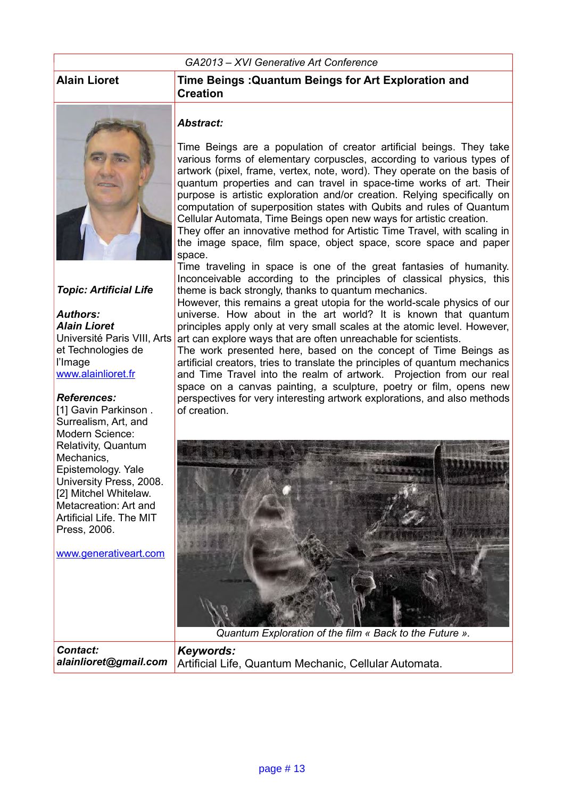#### *GA2013 – XVI Generative Art Conference*



#### *Topic: Artificial Life*

#### *Authors: Alain Lioret* Université Paris VIII, Arts et Technologies de l'Image [www.alainlioret.fr](http://www.alainlioret.fr/)

#### *References:*

[1] Gavin Parkinson. Surrealism, Art, and Modern Science: Relativity, Quantum Mechanics, Epistemology. Yale University Press, 2008. [2] Mitchel Whitelaw. Metacreation: Art and Artificial Life. The MIT Press, 2006.

[www.generativeart.com](http://www.generativeart.com/)

#### **Alain Lioret Time Beings :Quantum Beings for Art Exploration and Creation**

#### *Abstract:*

Time Beings are a population of creator artificial beings. They take various forms of elementary corpuscles, according to various types of artwork (pixel, frame, vertex, note, word). They operate on the basis of quantum properties and can travel in space-time works of art. Their purpose is artistic exploration and/or creation. Relying specifically on computation of superposition states with Qubits and rules of Quantum Cellular Automata, Time Beings open new ways for artistic creation.

They offer an innovative method for Artistic Time Travel, with scaling in the image space, film space, object space, score space and paper space.

Time traveling in space is one of the great fantasies of humanity. Inconceivable according to the principles of classical physics, this theme is back strongly, thanks to quantum mechanics.

However, this remains a great utopia for the world-scale physics of our universe. How about in the art world? It is known that quantum principles apply only at very small scales at the atomic level. However, art can explore ways that are often unreachable for scientists.

The work presented here, based on the concept of Time Beings as artificial creators, tries to translate the principles of quantum mechanics and Time Travel into the realm of artwork. Projection from our real space on a canvas painting, a sculpture, poetry or film, opens new perspectives for very interesting artwork explorations, and also methods of creation.



*Quantum Exploration of the film « Back to the Future ».*

*Contact: alainlioret@gmail.com Keywords:*  Artificial Life, Quantum Mechanic, Cellular Automata.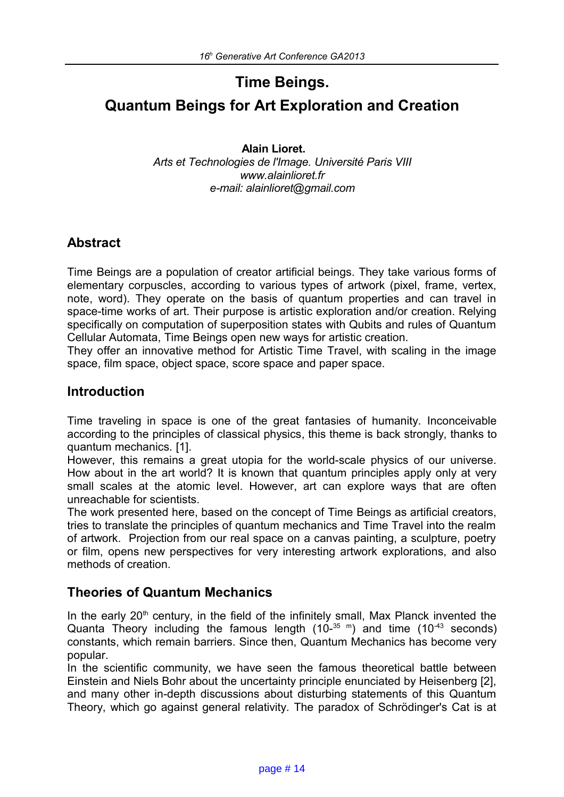# **Time Beings.**

# **Quantum Beings for Art Exploration and Creation**

**Alain Lioret.** *Arts et Technologies de l'Image. Université Paris VIII www.alainlioret.fr e-mail: alainlioret@gmail.com*

## **Abstract**

Time Beings are a population of creator artificial beings. They take various forms of elementary corpuscles, according to various types of artwork (pixel, frame, vertex, note, word). They operate on the basis of quantum properties and can travel in space-time works of art. Their purpose is artistic exploration and/or creation. Relying specifically on computation of superposition states with Qubits and rules of Quantum Cellular Automata, Time Beings open new ways for artistic creation.

They offer an innovative method for Artistic Time Travel, with scaling in the image space, film space, object space, score space and paper space.

## **Introduction**

Time traveling in space is one of the great fantasies of humanity. Inconceivable according to the principles of classical physics, this theme is back strongly, thanks to quantum mechanics. [1].

However, this remains a great utopia for the world-scale physics of our universe. How about in the art world? It is known that quantum principles apply only at very small scales at the atomic level. However, art can explore ways that are often unreachable for scientists.

The work presented here, based on the concept of Time Beings as artificial creators, tries to translate the principles of quantum mechanics and Time Travel into the realm of artwork. Projection from our real space on a canvas painting, a sculpture, poetry or film, opens new perspectives for very interesting artwork explorations, and also methods of creation.

### **Theories of Quantum Mechanics**

In the early  $20<sup>th</sup>$  century, in the field of the infinitely small, Max Planck invented the Quanta Theory including the famous length  $(10^{-35})$  m and time  $(10^{-43})$  seconds) constants, which remain barriers. Since then, Quantum Mechanics has become very popular.

In the scientific community, we have seen the famous theoretical battle between Einstein and Niels Bohr about the uncertainty principle enunciated by Heisenberg [2], and many other in-depth discussions about disturbing statements of this Quantum Theory, which go against general relativity. The paradox of Schrödinger's Cat is at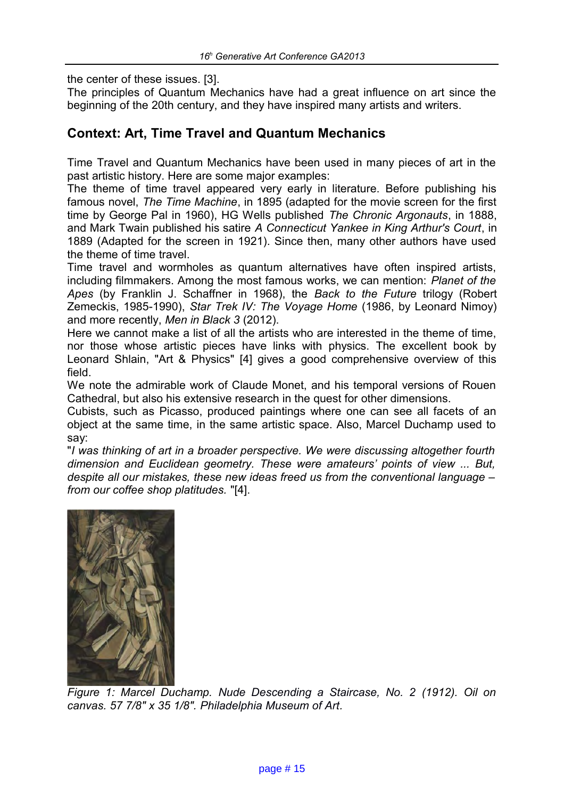the center of these issues. [3].

The principles of Quantum Mechanics have had a great influence on art since the beginning of the 20th century, and they have inspired many artists and writers.

## **Context: Art, Time Travel and Quantum Mechanics**

Time Travel and Quantum Mechanics have been used in many pieces of art in the past artistic history. Here are some major examples:

The theme of time travel appeared very early in literature. Before publishing his famous novel, *The Time Machine*, in 1895 (adapted for the movie screen for the first time by George Pal in 1960), HG Wells published *The Chronic Argonauts*, in 1888, and Mark Twain published his satire *A Connecticut Yankee in King Arthur's Court*, in 1889 (Adapted for the screen in 1921). Since then, many other authors have used the theme of time travel.

Time travel and wormholes as quantum alternatives have often inspired artists, including filmmakers. Among the most famous works, we can mention: *Planet of the Apes* (by Franklin J. Schaffner in 1968), the *Back to the Future* trilogy (Robert Zemeckis, 1985-1990), *Star Trek IV: The Voyage Home* (1986, by Leonard Nimoy) and more recently, *Men in Black 3* (2012).

Here we cannot make a list of all the artists who are interested in the theme of time, nor those whose artistic pieces have links with physics. The excellent book by Leonard Shlain, "Art & Physics" [4] gives a good comprehensive overview of this field.

We note the admirable work of Claude Monet, and his temporal versions of Rouen Cathedral, but also his extensive research in the quest for other dimensions.

Cubists, such as Picasso, produced paintings where one can see all facets of an object at the same time, in the same artistic space. Also, Marcel Duchamp used to say:

"*I was thinking of art in a broader perspective. We were discussing altogether fourth dimension and Euclidean geometry. These were amateurs' points of view ... But, despite all our mistakes, these new ideas freed us from the conventional language – from our coffee shop platitudes.* "[4].



*Figure 1: Marcel Duchamp. [Nude Descending a Staircase, No. 2](http://en.wikipedia.org/wiki/Nude_Descending_a_Staircase,_No._2) (1912). Oil on canvas. 57 7/8" x 35 1/8". [Philadelphia Museum of Art.](http://en.wikipedia.org/wiki/Philadelphia_Museum_of_Art)*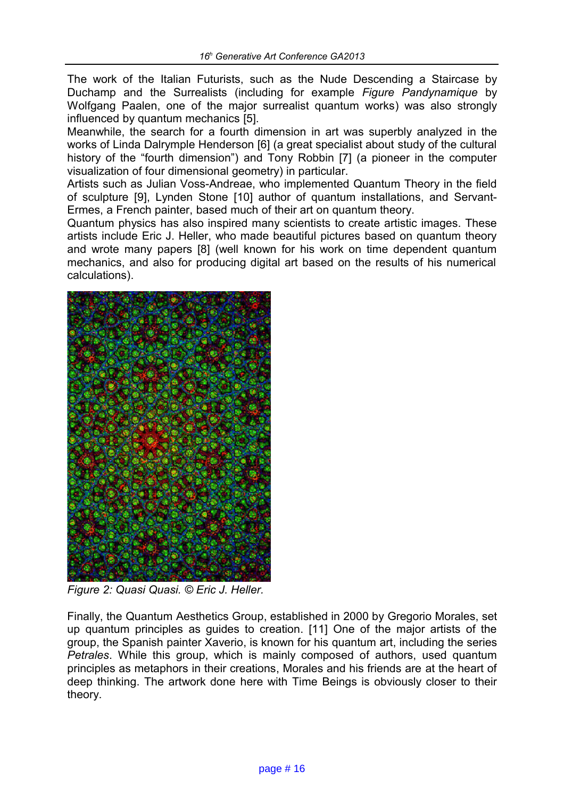The work of the Italian Futurists, such as the Nude Descending a Staircase by Duchamp and the Surrealists (including for example *Figure Pandynamique* by Wolfgang Paalen, one of the major surrealist quantum works) was also strongly influenced by quantum mechanics [5].

Meanwhile, the search for a fourth dimension in art was superbly analyzed in the works of Linda Dalrymple Henderson [6] (a great specialist about study of the cultural history of the "fourth dimension") and Tony Robbin [7] (a pioneer in the computer visualization of four dimensional geometry) in particular.

Artists such as Julian Voss-Andreae, who implemented Quantum Theory in the field of sculpture [9], Lynden Stone [10] author of quantum installations, and Servant-Ermes, a French painter, based much of their art on quantum theory.

Quantum physics has also inspired many scientists to create artistic images. These artists include Eric J. Heller, who made beautiful pictures based on quantum theory and wrote many papers [8] (well known for his work on time dependent quantum mechanics, and also for producing digital art based on the results of his numerical calculations).



*Figure 2: Quasi Quasi. © Eric J. Heller.*

Finally, the Quantum Aesthetics Group, established in 2000 by Gregorio Morales, set up quantum principles as guides to creation. [11] One of the major artists of the group, the Spanish painter Xaverio, is known for his quantum art, including the series *Petrales*. While this group, which is mainly composed of authors, used quantum principles as metaphors in their creations, Morales and his friends are at the heart of deep thinking. The artwork done here with Time Beings is obviously closer to their theory.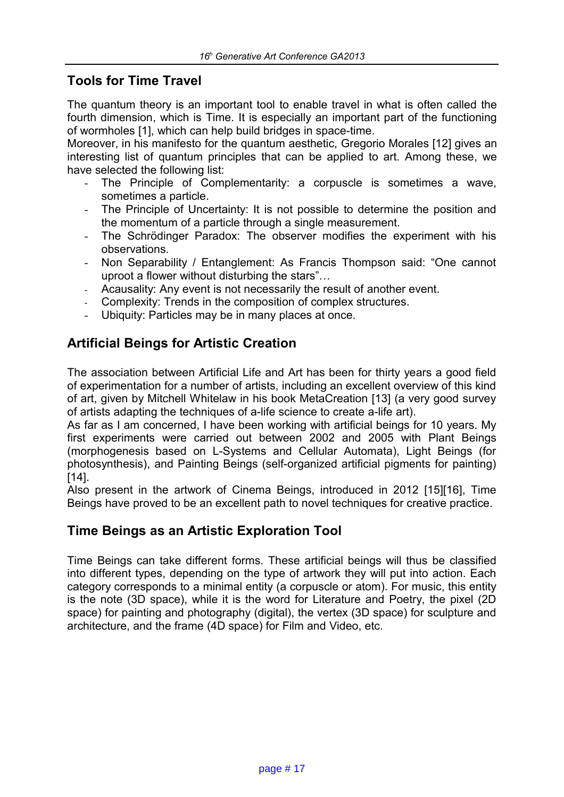## **Tools for Time Travel**

The quantum theory is an important tool to enable travel in what is often called the fourth dimension, which is Time. It is especially an important part of the functioning of wormholes [1], which can help build bridges in space-time.

Moreover, in his manifesto for the quantum aesthetic, Gregorio Morales [12] gives an interesting list of quantum principles that can be applied to art. Among these, we have selected the following list:

- The Principle of Complementarity: a corpuscle is sometimes a wave, sometimes a particle.
- The Principle of Uncertainty: It is not possible to determine the position and the momentum of a particle through a single measurement.
- The Schrödinger Paradox: The observer modifies the experiment with his observations.
- Non Separability / Entanglement: As Francis Thompson said: "One cannot uproot a flower without disturbing the stars"…
- Acausality: Any event is not necessarily the result of another event.
- Complexity: Trends in the composition of complex structures.
- Ubiquity: Particles may be in many places at once.

## **Artificial Beings for Artistic Creation**

The association between Artificial Life and Art has been for thirty years a good field of experimentation for a number of artists, including an excellent overview of this kind of art, given by Mitchell Whitelaw in his book MetaCreation [13] (a very good survey of artists adapting the techniques of a-life science to create a-life art).

As far as I am concerned, I have been working with artificial beings for 10 years. My first experiments were carried out between 2002 and 2005 with Plant Beings (morphogenesis based on L-Systems and Cellular Automata), Light Beings (for photosynthesis), and Painting Beings (self-organized artificial pigments for painting) [14].

Also present in the artwork of Cinema Beings, introduced in 2012 [15][16], Time Beings have proved to be an excellent path to novel techniques for creative practice.

### **Time Beings as an Artistic Exploration Tool**

Time Beings can take different forms. These artificial beings will thus be classified into different types, depending on the type of artwork they will put into action. Each category corresponds to a minimal entity (a corpuscle or atom). For music, this entity is the note (3D space), while it is the word for Literature and Poetry, the pixel (2D space) for painting and photography (digital), the vertex (3D space) for sculpture and architecture, and the frame (4D space) for Film and Video, etc.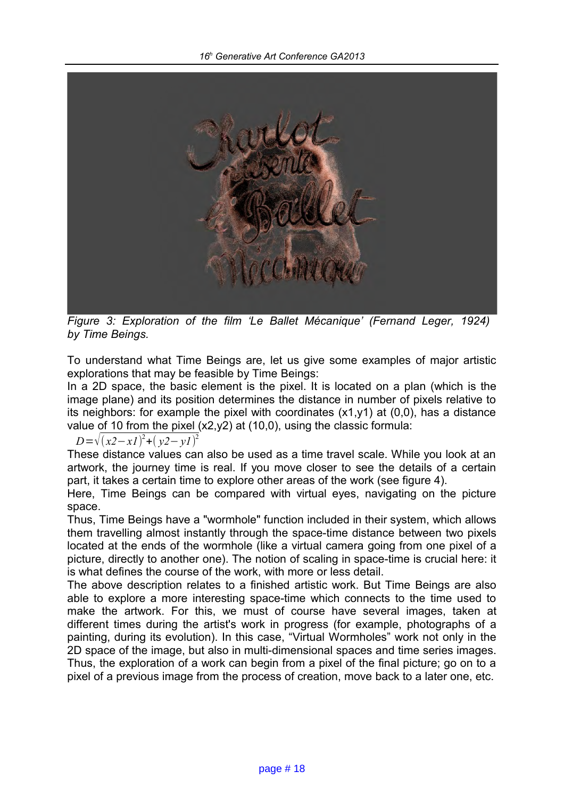

*Figure 3: Exploration of the film 'Le Ballet Mécanique' (Fernand Leger, 1924) by Time Beings.*

To understand what Time Beings are, let us give some examples of major artistic explorations that may be feasible by Time Beings:

In a 2D space, the basic element is the pixel. It is located on a plan (which is the image plane) and its position determines the distance in number of pixels relative to its neighbors: for example the pixel with coordinates (x1,y1) at (0,0), has a distance value of 10 from the pixel  $(x2,y2)$  at  $(10,0)$ , using the classic formula:

*D*=√(*x2*−*x1*)<sup>2</sup>+(*y2*−*y1*)<sup>2</sup>

These distance values can also be used as a time travel scale. While you look at an artwork, the journey time is real. If you move closer to see the details of a certain part, it takes a certain time to explore other areas of the work (see figure 4).

Here, Time Beings can be compared with virtual eyes, navigating on the picture space.

Thus, Time Beings have a "wormhole" function included in their system, which allows them travelling almost instantly through the space-time distance between two pixels located at the ends of the wormhole (like a virtual camera going from one pixel of a picture, directly to another one). The notion of scaling in space-time is crucial here: it is what defines the course of the work, with more or less detail.

The above description relates to a finished artistic work. But Time Beings are also able to explore a more interesting space-time which connects to the time used to make the artwork. For this, we must of course have several images, taken at different times during the artist's work in progress (for example, photographs of a painting, during its evolution). In this case, "Virtual Wormholes" work not only in the 2D space of the image, but also in multi-dimensional spaces and time series images. Thus, the exploration of a work can begin from a pixel of the final picture; go on to a pixel of a previous image from the process of creation, move back to a later one, etc.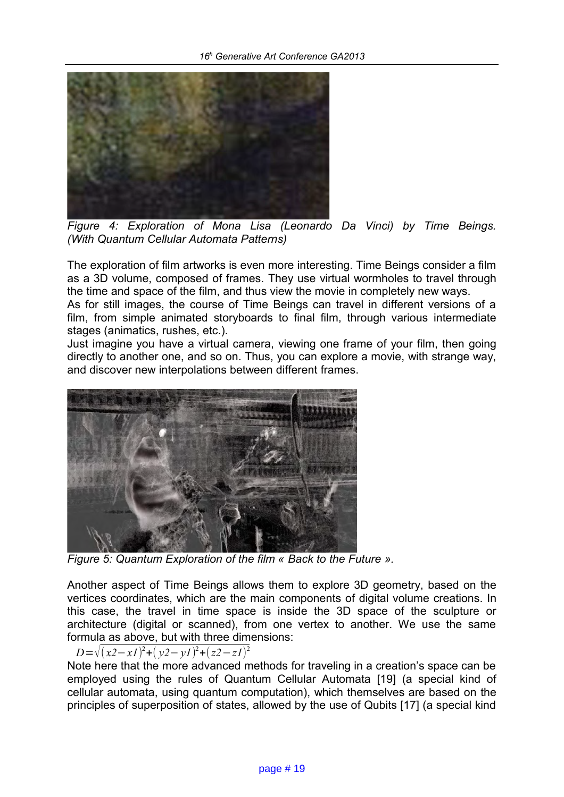

*Figure 4: Exploration of Mona Lisa (Leonardo Da Vinci) by Time Beings. (With Quantum Cellular Automata Patterns)*

The exploration of film artworks is even more interesting. Time Beings consider a film as a 3D volume, composed of frames. They use virtual wormholes to travel through the time and space of the film, and thus view the movie in completely new ways.

As for still images, the course of Time Beings can travel in different versions of a film, from simple animated storyboards to final film, through various intermediate stages (animatics, rushes, etc.).

Just imagine you have a virtual camera, viewing one frame of your film, then going directly to another one, and so on. Thus, you can explore a movie, with strange way, and discover new interpolations between different frames.



*Figure 5: Quantum Exploration of the film « Back to the Future ».*

Another aspect of Time Beings allows them to explore 3D geometry, based on the vertices coordinates, which are the main components of digital volume creations. In this case, the travel in time space is inside the 3D space of the sculpture or architecture (digital or scanned), from one vertex to another. We use the same formula as above, but with three dimensions:

#### *D*=√(*x2*−*x1*)<sup>2</sup>+(*y2*−*y1*)<sup>2</sup>+(*z2*−*z1*)<sup>2</sup>

Note here that the more advanced methods for traveling in a creation's space can be employed using the rules of Quantum Cellular Automata [19] (a special kind of cellular automata, using quantum computation), which themselves are based on the principles of superposition of states, allowed by the use of Qubits [17] (a special kind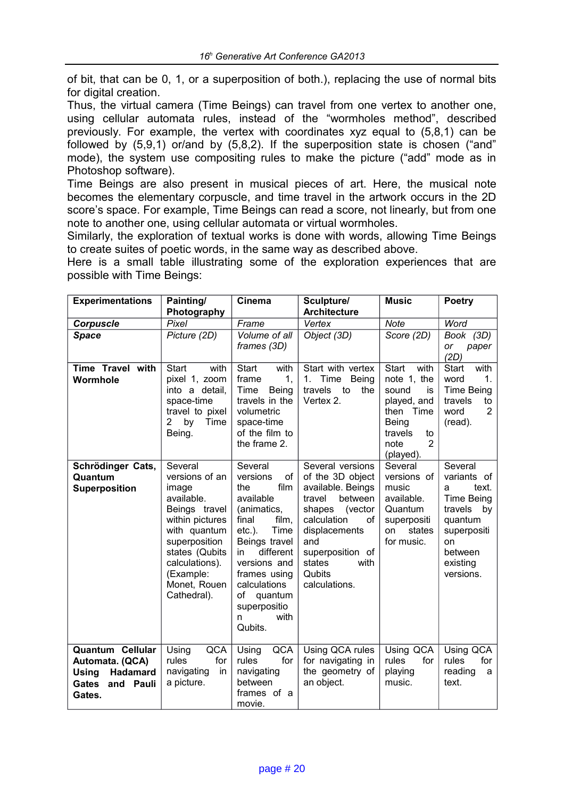of bit, that can be 0, 1, or a superposition of both.), replacing the use of normal bits for digital creation.

Thus, the virtual camera (Time Beings) can travel from one vertex to another one, using cellular automata rules, instead of the "wormholes method", described previously. For example, the vertex with coordinates xyz equal to (5,8,1) can be followed by (5,9,1) or/and by (5,8,2). If the superposition state is chosen ("and" mode), the system use compositing rules to make the picture ("add" mode as in Photoshop software).

Time Beings are also present in musical pieces of art. Here, the musical note becomes the elementary corpuscle, and time travel in the artwork occurs in the 2D score's space. For example, Time Beings can read a score, not linearly, but from one note to another one, using cellular automata or virtual wormholes.

Similarly, the exploration of textual works is done with words, allowing Time Beings to create suites of poetic words, in the same way as described above.

Here is a small table illustrating some of the exploration experiences that are possible with Time Beings:

| <b>Experimentations</b>                                                                                | Painting/                                                                                                                                                                                             | Cinema                                                                                                                                                                                                                                                    | Sculpture/<br><b>Architecture</b>                                                                                                                                                                                 | <b>Music</b>                                                                                                                                    | Poetry                                                                                                                                         |
|--------------------------------------------------------------------------------------------------------|-------------------------------------------------------------------------------------------------------------------------------------------------------------------------------------------------------|-----------------------------------------------------------------------------------------------------------------------------------------------------------------------------------------------------------------------------------------------------------|-------------------------------------------------------------------------------------------------------------------------------------------------------------------------------------------------------------------|-------------------------------------------------------------------------------------------------------------------------------------------------|------------------------------------------------------------------------------------------------------------------------------------------------|
|                                                                                                        | Photography<br>Pixel                                                                                                                                                                                  | Frame                                                                                                                                                                                                                                                     | Vertex                                                                                                                                                                                                            | <b>Note</b>                                                                                                                                     | Word                                                                                                                                           |
| <b>Corpuscle</b><br><b>Space</b>                                                                       | Picture (2D)                                                                                                                                                                                          | Volume of all                                                                                                                                                                                                                                             | Object (3D)                                                                                                                                                                                                       | Score (2D)                                                                                                                                      | Book (3D)                                                                                                                                      |
|                                                                                                        |                                                                                                                                                                                                       | frames (3D)                                                                                                                                                                                                                                               |                                                                                                                                                                                                                   |                                                                                                                                                 | or<br>paper<br>(2D)                                                                                                                            |
| Time Travel with<br>Wormhole                                                                           | <b>Start</b><br>with<br>pixel 1, zoom<br>into a detail,<br>space-time<br>travel to pixel<br>$\overline{2}$<br>Time<br>by<br>Being.                                                                    | Start<br>with<br>frame<br>1,<br>Time<br>Being<br>travels in the<br>volumetric<br>space-time<br>of the film to<br>the frame 2.                                                                                                                             | Start with vertex<br>1. Time<br>Being<br>travels<br>to<br>the<br>Vertex 2.                                                                                                                                        | <b>Start</b><br>with<br>note 1, the<br>sound<br>is<br>played, and<br>then Time<br>Being<br>travels<br>to<br>$\overline{2}$<br>note<br>(played). | with<br>Start<br>word<br>1.<br><b>Time Being</b><br>travels<br>to<br>$\overline{2}$<br>word<br>(read).                                         |
| Schrödinger Cats,<br>Quantum<br><b>Superposition</b>                                                   | Several<br>versions of an<br>image<br>available.<br>Beings travel<br>within pictures<br>with quantum<br>superposition<br>states (Qubits<br>calculations).<br>(Example:<br>Monet, Rouen<br>Cathedral). | Several<br>versions<br>of<br>film<br>the<br>available<br>(animatics,<br>film,<br>final<br>$etc.$ ).<br>Time<br>Beings travel<br>different<br>in.<br>versions and<br>frames using<br>calculations<br>οf<br>quantum<br>superpositio<br>with<br>n<br>Qubits. | Several versions<br>of the 3D object<br>available. Beings<br>between<br>travel<br>shapes<br>(vector<br>calculation<br>οf<br>displacements<br>and<br>superposition of<br>states<br>with<br>Qubits<br>calculations. | Several<br>versions of<br>music<br>available.<br>Quantum<br>superpositi<br>states<br>on<br>for music.                                           | Several<br>variants of<br>text.<br>a<br><b>Time Being</b><br>travels<br>by<br>quantum<br>superpositi<br>on<br>between<br>existing<br>versions. |
| Quantum Cellular<br>Automata. (QCA)<br><b>Using</b><br>Hadamard<br><b>Gates</b><br>and Pauli<br>Gates. | QCA<br>Using<br>rules<br>for<br>navigating<br>in<br>a picture.                                                                                                                                        | Using<br><b>QCA</b><br>rules<br>for<br>navigating<br>between<br>frames of a<br>movie.                                                                                                                                                                     | Using QCA rules<br>for navigating in<br>the geometry of<br>an object.                                                                                                                                             | Using QCA<br>rules<br>for<br>playing<br>music.                                                                                                  | Using QCA<br>rules<br>for<br>reading<br>a<br>text.                                                                                             |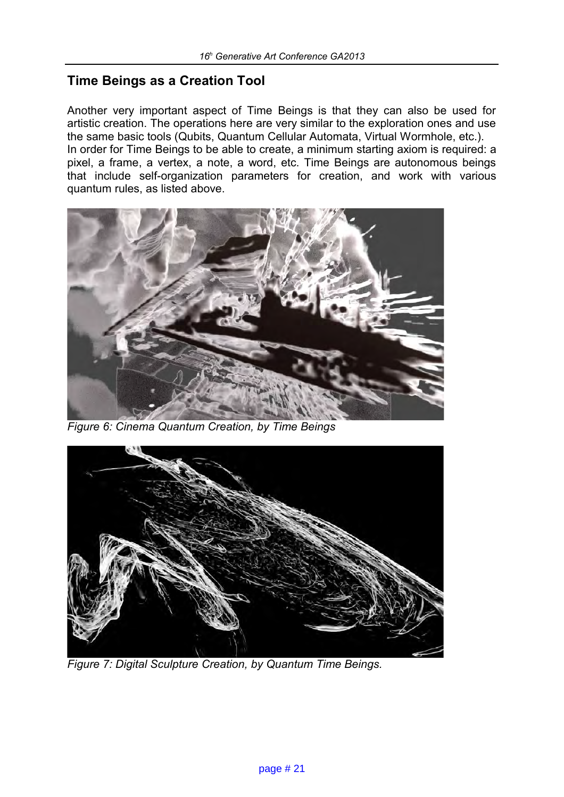## **Time Beings as a Creation Tool**

Another very important aspect of Time Beings is that they can also be used for artistic creation. The operations here are very similar to the exploration ones and use the same basic tools (Qubits, Quantum Cellular Automata, Virtual Wormhole, etc.). In order for Time Beings to be able to create, a minimum starting axiom is required: a pixel, a frame, a vertex, a note, a word, etc. Time Beings are autonomous beings that include self-organization parameters for creation, and work with various quantum rules, as listed above.



*Figure 6: Cinema Quantum Creation, by Time Beings*



*Figure 7: Digital Sculpture Creation, by Quantum Time Beings.*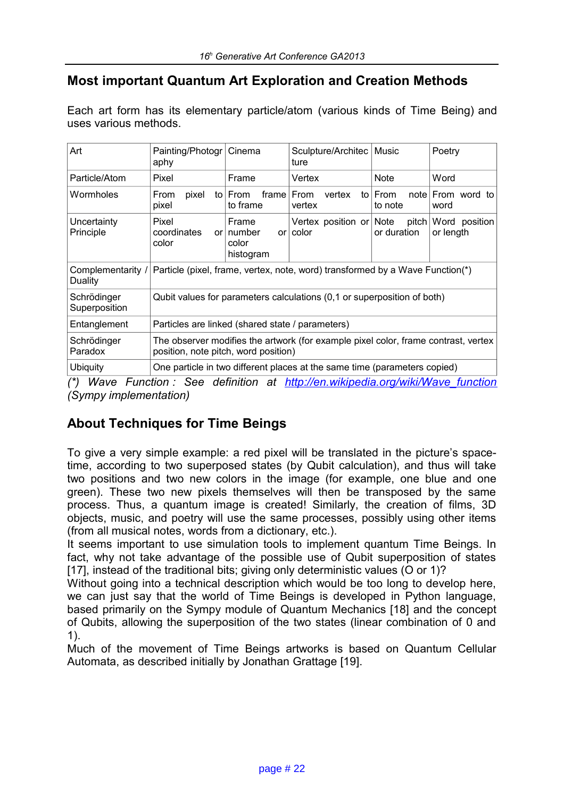## **Most important Quantum Art Exploration and Creation Methods**

Each art form has its elementary particle/atom (various kinds of Time Being) and uses various methods.

| Art                          | Painting/Photogr<br>aphy                                                                                                   | Cinema                                               | Sculpture/Architec<br>ture       | Music                | Poetry                     |  |  |  |
|------------------------------|----------------------------------------------------------------------------------------------------------------------------|------------------------------------------------------|----------------------------------|----------------------|----------------------------|--|--|--|
| Particle/Atom                | Pixel                                                                                                                      | Frame                                                | Vertex                           | <b>Note</b>          | Word                       |  |  |  |
| Wormholes                    | pixel<br>From<br>pixel                                                                                                     | to $From$<br>frame l<br>to frame                     | From<br>vertex<br>vertex         | to From<br>to note   | note From word to<br>word  |  |  |  |
| Uncertainty<br>Principle     | Pixel<br>coordinates<br>color                                                                                              | Frame<br>$or$   number<br>or l<br>color<br>histogram | Vertex position or Note<br>color | pitch<br>or duration | Word position<br>or length |  |  |  |
| Complementarity /<br>Duality | Particle (pixel, frame, vertex, note, word) transformed by a Wave Function(*)                                              |                                                      |                                  |                      |                            |  |  |  |
| Schrödinger<br>Superposition | Qubit values for parameters calculations (0,1 or superposition of both)                                                    |                                                      |                                  |                      |                            |  |  |  |
| Entanglement                 | Particles are linked (shared state / parameters)                                                                           |                                                      |                                  |                      |                            |  |  |  |
| Schrödinger<br>Paradox       | The observer modifies the artwork (for example pixel color, frame contrast, vertex<br>position, note pitch, word position) |                                                      |                                  |                      |                            |  |  |  |
| <b>Ubiquity</b>              | One particle in two different places at the same time (parameters copied)                                                  |                                                      |                                  |                      |                            |  |  |  |

*(\*) Wave Function : See definition at [http://en.wikipedia.org/wiki/Wave\\_function](http://en.wikipedia.org/wiki/Wave_function) (Sympy implementation)*

## **About Techniques for Time Beings**

To give a very simple example: a red pixel will be translated in the picture's spacetime, according to two superposed states (by Qubit calculation), and thus will take two positions and two new colors in the image (for example, one blue and one green). These two new pixels themselves will then be transposed by the same process. Thus, a quantum image is created! Similarly, the creation of films, 3D objects, music, and poetry will use the same processes, possibly using other items (from all musical notes, words from a dictionary, etc.).

It seems important to use simulation tools to implement quantum Time Beings. In fact, why not take advantage of the possible use of Qubit superposition of states [17], instead of the traditional bits; giving only deterministic values (O or 1)?

Without going into a technical description which would be too long to develop here, we can just say that the world of Time Beings is developed in Python language, based primarily on the Sympy module of Quantum Mechanics [18] and the concept of Qubits, allowing the superposition of the two states (linear combination of 0 and 1).

Much of the movement of Time Beings artworks is based on Quantum Cellular Automata, as described initially by Jonathan Grattage [19].